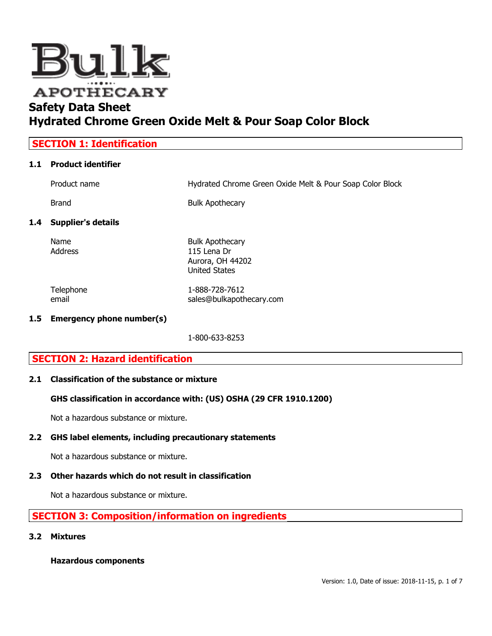

| <b>SECTION 1: Identification</b> |                        |                                                          |
|----------------------------------|------------------------|----------------------------------------------------------|
|                                  | 1.1 Product identifier |                                                          |
|                                  | Product name           | Hydrated Chrome Green Oxide Melt & Pour Soap Color Block |

Brand Brand Bulk Apothecary

# 1.4 Supplier's details

Name Bulk Apothecary Address 115 Lena Dr

Telephone 1-888-728-7612 email sales@bulkapothecary.com

# 1.5 Emergency phone number(s)

1-800-633-8253

Aurora, OH 44202 United States

# SECTION 2: Hazard identification

# 2.1 Classification of the substance or mixture

# GHS classification in accordance with: (US) OSHA (29 CFR 1910.1200)

Not a hazardous substance or mixture.

# 2.2 GHS label elements, including precautionary statements

Not a hazardous substance or mixture.

# 2.3 Other hazards which do not result in classification

Not a hazardous substance or mixture.

# SECTION 3: Composition/information on ingredients

#### 3.2 Mixtures

Hazardous components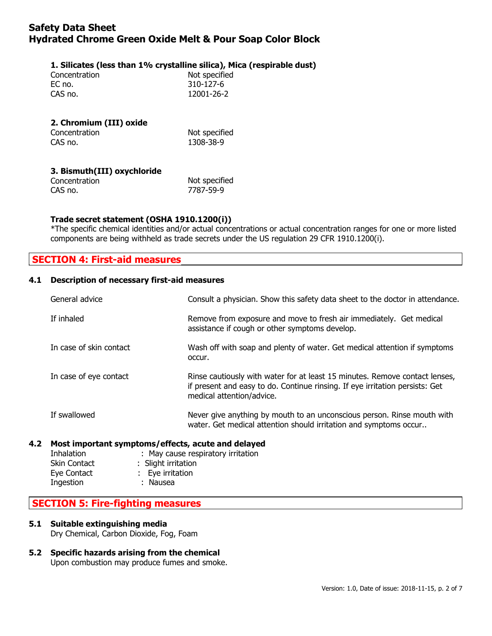### 1. Silicates (less than 1% crystalline silica), Mica (respirable dust)

| Not specified |  |
|---------------|--|
| 310-127-6     |  |
| 12001-26-2    |  |
|               |  |

| 2. Chromium (III) oxide |               |
|-------------------------|---------------|
| Concentration           | Not specified |
| CAS no.                 | 1308-38-9     |

| 3. Bismuth(III) oxychloride |               |
|-----------------------------|---------------|
| Concentration               | Not specified |
| CAS no.                     | 7787-59-9     |

### Trade secret statement (OSHA 1910.1200(i))

\*The specific chemical identities and/or actual concentrations or actual concentration ranges for one or more listed components are being withheld as trade secrets under the US regulation 29 CFR 1910.1200(i).

# SECTION 4: First-aid measures

#### 4.1 Description of necessary first-aid measures

| General advice          | Consult a physician. Show this safety data sheet to the doctor in attendance.                                                                                                            |  |
|-------------------------|------------------------------------------------------------------------------------------------------------------------------------------------------------------------------------------|--|
| If inhaled              | Remove from exposure and move to fresh air immediately. Get medical<br>assistance if cough or other symptoms develop.                                                                    |  |
| In case of skin contact | Wash off with soap and plenty of water. Get medical attention if symptoms<br>occur.                                                                                                      |  |
| In case of eye contact  | Rinse cautiously with water for at least 15 minutes. Remove contact lenses,<br>if present and easy to do. Continue rinsing. If eye irritation persists: Get<br>medical attention/advice. |  |
| If swallowed            | Never give anything by mouth to an unconscious person. Rinse mouth with<br>water. Get medical attention should irritation and symptoms occur                                             |  |
|                         |                                                                                                                                                                                          |  |

# 4.2 Most important symptoms/effects, acute and delayed

| Inhalation          | : May cause respiratory irritation |
|---------------------|------------------------------------|
| <b>Skin Contact</b> | : Slight irritation                |
| Eye Contact         | : Eye irritation                   |
| Ingestion           | : Nausea                           |
|                     |                                    |

# SECTION 5: Fire-fighting measures

#### 5.1 Suitable extinguishing media

Dry Chemical, Carbon Dioxide, Fog, Foam

# 5.2 Specific hazards arising from the chemical

Upon combustion may produce fumes and smoke.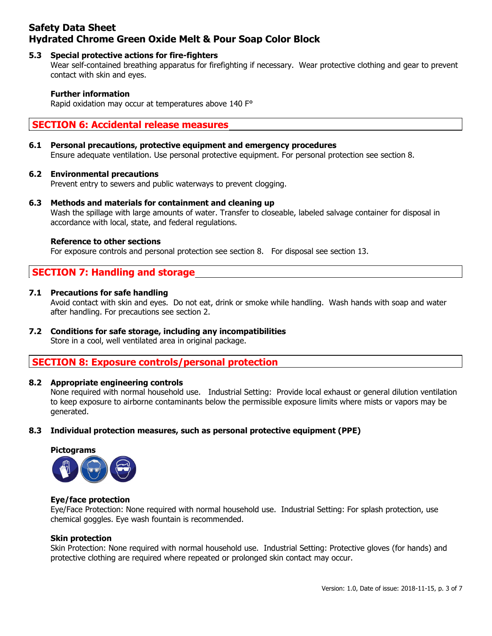### 5.3 Special protective actions for fire-fighters

Wear self-contained breathing apparatus for firefighting if necessary. Wear protective clothing and gear to prevent contact with skin and eyes.

#### Further information

Rapid oxidation may occur at temperatures above 140 F°

# SECTION 6: Accidental release measures

#### 6.1 Personal precautions, protective equipment and emergency procedures

Ensure adequate ventilation. Use personal protective equipment. For personal protection see section 8.

#### 6.2 Environmental precautions

Prevent entry to sewers and public waterways to prevent clogging.

#### 6.3 Methods and materials for containment and cleaning up

Wash the spillage with large amounts of water. Transfer to closeable, labeled salvage container for disposal in accordance with local, state, and federal regulations.

#### Reference to other sections

For exposure controls and personal protection see section 8. For disposal see section 13.

# SECTION 7: Handling and storage

#### 7.1 Precautions for safe handling

Avoid contact with skin and eyes. Do not eat, drink or smoke while handling. Wash hands with soap and water after handling. For precautions see section 2.

# 7.2 Conditions for safe storage, including any incompatibilities

Store in a cool, well ventilated area in original package.

# SECTION 8: Exposure controls/personal protection

#### 8.2 Appropriate engineering controls

None required with normal household use. Industrial Setting: Provide local exhaust or general dilution ventilation to keep exposure to airborne contaminants below the permissible exposure limits where mists or vapors may be generated.

#### 8.3 Individual protection measures, such as personal protective equipment (PPE)





#### Eye/face protection

Eye/Face Protection: None required with normal household use. Industrial Setting: For splash protection, use chemical goggles. Eye wash fountain is recommended.

#### Skin protection

Skin Protection: None required with normal household use. Industrial Setting: Protective gloves (for hands) and protective clothing are required where repeated or prolonged skin contact may occur.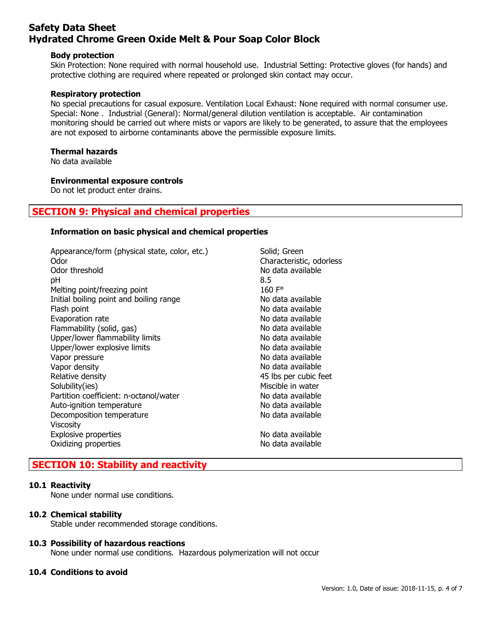#### Body protection

Skin Protection: None required with normal household use. Industrial Setting: Protective gloves (for hands) and protective clothing are required where repeated or prolonged skin contact may occur.

#### Respiratory protection

No special precautions for casual exposure. Ventilation Local Exhaust: None required with normal consumer use. Special: None . Industrial (General): Normal/general dilution ventilation is acceptable. Air contamination monitoring should be carried out where mists or vapors are likely to be generated, to assure that the employees are not exposed to airborne contaminants above the permissible exposure limits.

# Thermal hazards

No data available

# Environmental exposure controls

Do not let product enter drains.

# SECTION 9: Physical and chemical properties

### Information on basic physical and chemical properties

| Appearance/form (physical state, color, etc.)<br>Odor<br>Odor threshold | Solid; Green<br>Characteristic, odorless<br>No data available |
|-------------------------------------------------------------------------|---------------------------------------------------------------|
| рH                                                                      | 8.5<br>160 $F^{\circ}$                                        |
| Melting point/freezing point                                            | No data available                                             |
| Initial boiling point and boiling range                                 | No data available                                             |
| Flash point                                                             | No data available                                             |
| Evaporation rate                                                        | No data available                                             |
| Flammability (solid, gas)                                               |                                                               |
| Upper/lower flammability limits                                         | No data available                                             |
| Upper/lower explosive limits                                            | No data available                                             |
| Vapor pressure                                                          | No data available                                             |
| Vapor density                                                           | No data available                                             |
| Relative density                                                        | 45 lbs per cubic feet                                         |
| Solubility(ies)                                                         | Miscible in water                                             |
| Partition coefficient: n-octanol/water                                  | No data available                                             |
| Auto-ignition temperature                                               | No data available                                             |
| Decomposition temperature                                               | No data available                                             |
| <b>Viscosity</b>                                                        |                                                               |
| Explosive properties                                                    | No data available                                             |
| Oxidizing properties                                                    | No data available                                             |
|                                                                         |                                                               |

# SECTION 10: Stability and reactivity

#### 10.1 Reactivity

None under normal use conditions.

#### 10.2 Chemical stability

Stable under recommended storage conditions.

#### 10.3 Possibility of hazardous reactions

None under normal use conditions. Hazardous polymerization will not occur

# 10.4 Conditions to avoid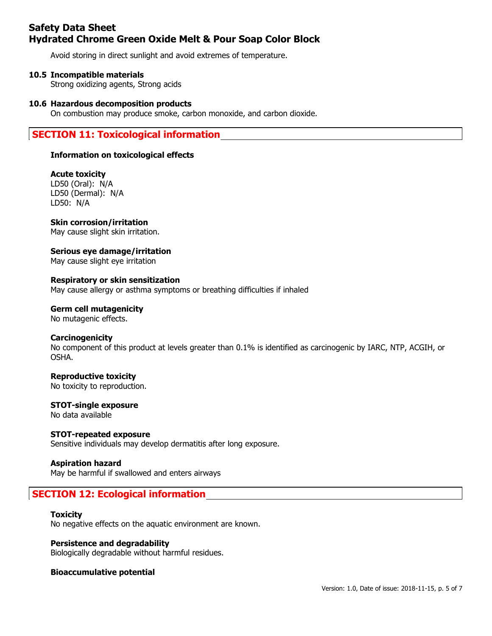Avoid storing in direct sunlight and avoid extremes of temperature.

### 10.5 Incompatible materials

Strong oxidizing agents, Strong acids

#### 10.6 Hazardous decomposition products

On combustion may produce smoke, carbon monoxide, and carbon dioxide.

# SECTION 11: Toxicological information

### Information on toxicological effects

# Acute toxicity

LD50 (Oral): N/A LD50 (Dermal): N/A LD50: N/A

# Skin corrosion/irritation

May cause slight skin irritation.

#### Serious eye damage/irritation May cause slight eye irritation

Respiratory or skin sensitization May cause allergy or asthma symptoms or breathing difficulties if inhaled

# Germ cell mutagenicity

No mutagenic effects.

# **Carcinogenicity**

No component of this product at levels greater than 0.1% is identified as carcinogenic by IARC, NTP, ACGIH, or OSHA.

# Reproductive toxicity

No toxicity to reproduction.

# STOT-single exposure

No data available

# STOT-repeated exposure

Sensitive individuals may develop dermatitis after long exposure.

# Aspiration hazard

May be harmful if swallowed and enters airways

# SECTION 12: Ecological information

# **Toxicity**

No negative effects on the aquatic environment are known.

# Persistence and degradability

Biologically degradable without harmful residues.

# Bioaccumulative potential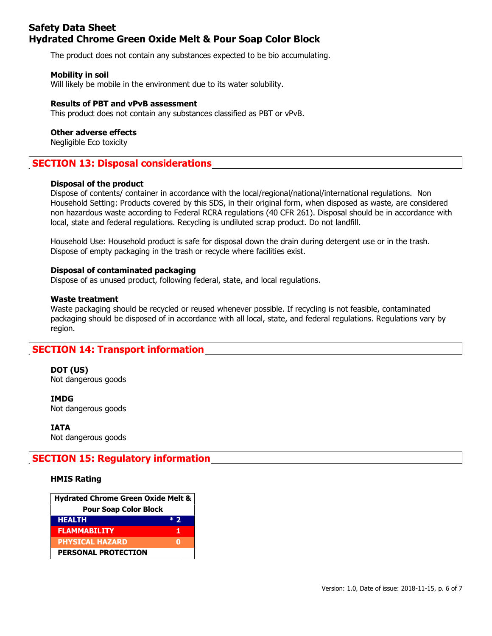The product does not contain any substances expected to be bio accumulating.

#### Mobility in soil

Will likely be mobile in the environment due to its water solubility.

#### Results of PBT and vPvB assessment

This product does not contain any substances classified as PBT or vPvB.

#### Other adverse effects

Negligible Eco toxicity

# SECTION 13: Disposal considerations

#### Disposal of the product

Dispose of contents/ container in accordance with the local/regional/national/international regulations. Non Household Setting: Products covered by this SDS, in their original form, when disposed as waste, are considered non hazardous waste according to Federal RCRA regulations (40 CFR 261). Disposal should be in accordance with local, state and federal regulations. Recycling is undiluted scrap product. Do not landfill.

Household Use: Household product is safe for disposal down the drain during detergent use or in the trash. Dispose of empty packaging in the trash or recycle where facilities exist.

#### Disposal of contaminated packaging

Dispose of as unused product, following federal, state, and local regulations.

#### Waste treatment

Waste packaging should be recycled or reused whenever possible. If recycling is not feasible, contaminated packaging should be disposed of in accordance with all local, state, and federal regulations. Regulations vary by region.

# SECTION 14: Transport information

DOT (US) Not dangerous goods

IMDG Not dangerous goods

IATA Not dangerous goods

# SECTION 15: Regulatory information

#### HMIS Rating

| Hydrated Chrome Green Oxide Melt & |       |  |
|------------------------------------|-------|--|
| <b>Pour Soap Color Block</b>       |       |  |
| <b>HEALTH</b>                      | $*$ ) |  |
| <b>FLAMMABILITY</b>                | 1     |  |
| <b>PHYSICAL HAZARD</b>             |       |  |
| <b>PERSONAL PROTECTION</b>         |       |  |